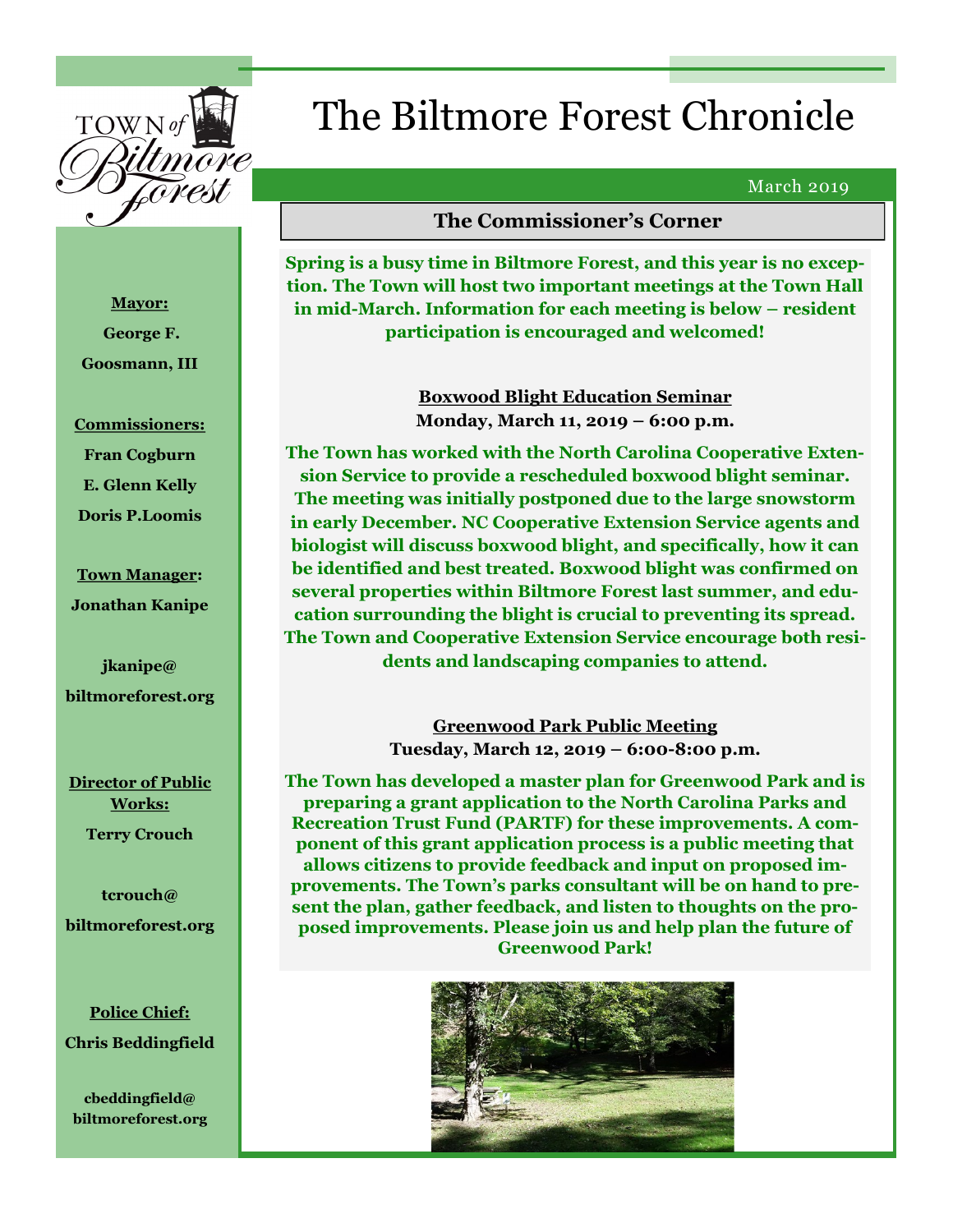

# The Biltmore Forest Chronicle

#### March 2019

# **The Commissioner's Corner**

**Spring is a busy time in Biltmore Forest, and this year is no exception. The Town will host two important meetings at the Town Hall in mid-March. Information for each meeting is below – resident participation is encouraged and welcomed!**

> **Boxwood Blight Education Seminar Monday, March 11, 2019 – 6:00 p.m.**

**The Town has worked with the North Carolina Cooperative Extension Service to provide a rescheduled boxwood blight seminar. The meeting was initially postponed due to the large snowstorm in early December. NC Cooperative Extension Service agents and biologist will discuss boxwood blight, and specifically, how it can be identified and best treated. Boxwood blight was confirmed on several properties within Biltmore Forest last summer, and education surrounding the blight is crucial to preventing its spread. The Town and Cooperative Extension Service encourage both residents and landscaping companies to attend.** 

> **Greenwood Park Public Meeting Tuesday, March 12, 2019 – 6:00-8:00 p.m.**

**The Town has developed a master plan for Greenwood Park and is preparing a grant application to the North Carolina Parks and Recreation Trust Fund (PARTF) for these improvements. A component of this grant application process is a public meeting that allows citizens to provide feedback and input on proposed improvements. The Town's parks consultant will be on hand to present the plan, gather feedback, and listen to thoughts on the proposed improvements. Please join us and help plan the future of Greenwood Park!**



**Mayor: George F. Goosmann, III**

#### **Commissioners:**

**Fran Cogburn E. Glenn Kelly Doris P.Loomis**

**Town Manager: Jonathan Kanipe**

**jkanipe@ biltmoreforest.org**

**Director of Public Works: Terry Crouch**

**tcrouch@ biltmoreforest.org**

**Police Chief: Chris Beddingfield**

**cbeddingfield@ biltmoreforest.org**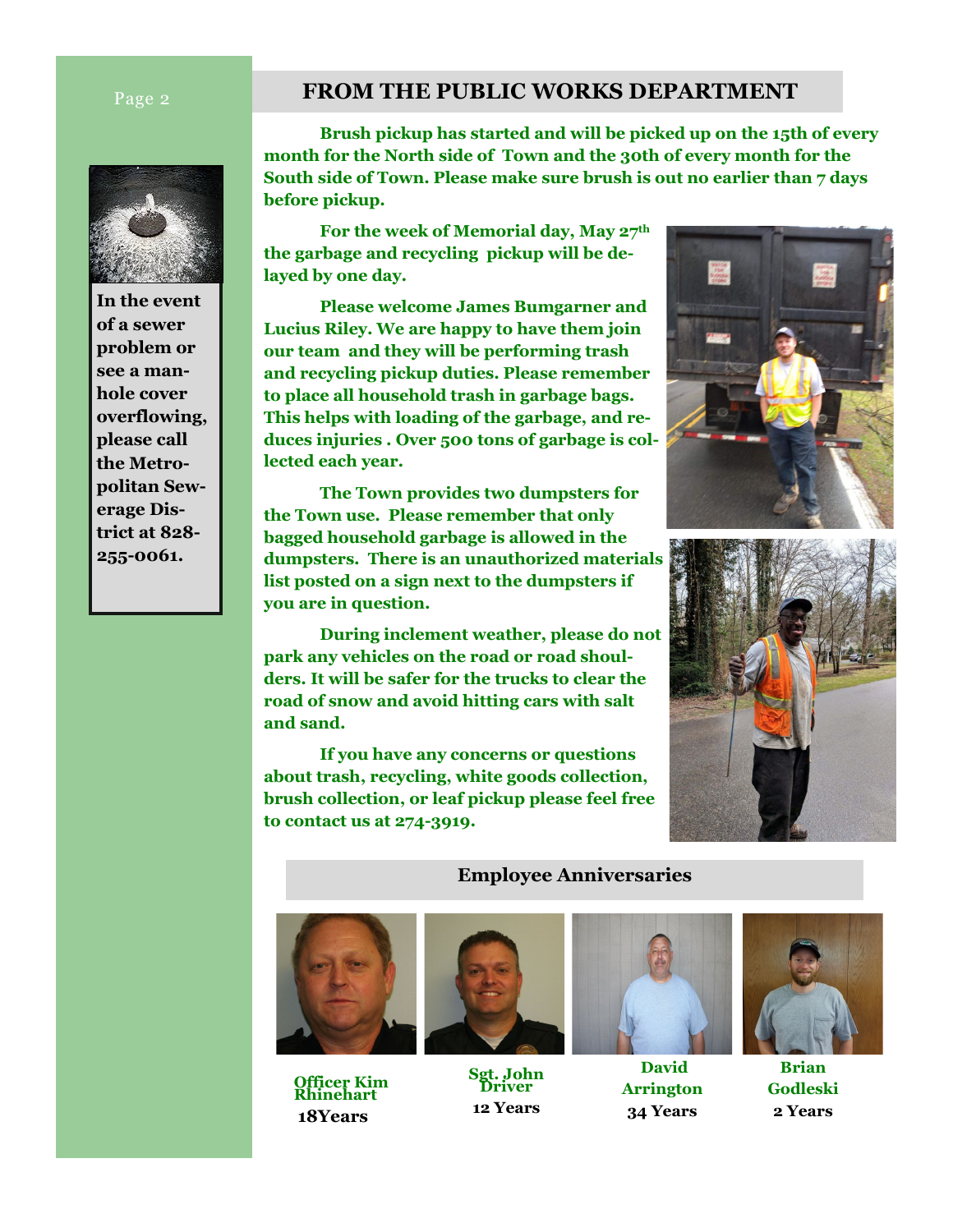

**In the event of a sewer problem or see a manhole cover overflowing, please call the Metropolitan Sewerage District at 828- 255-0061.**

# **Fage 2 FROM THE PUBLIC WORKS DEPARTMENT**

**Brush pickup has started and will be picked up on the 15th of every month for the North side of Town and the 30th of every month for the South side of Town. Please make sure brush is out no earlier than 7 days before pickup.**

**For the week of Memorial day, May 27th the garbage and recycling pickup will be delayed by one day.** 

**Please welcome James Bumgarner and Lucius Riley. We are happy to have them join our team and they will be performing trash and recycling pickup duties. Please remember to place all household trash in garbage bags. This helps with loading of the garbage, and reduces injuries . Over 500 tons of garbage is collected each year.**

**The Town provides two dumpsters for the Town use. Please remember that only bagged household garbage is allowed in the dumpsters. There is an unauthorized materials list posted on a sign next to the dumpsters if you are in question.**

**During inclement weather, please do not park any vehicles on the road or road shoulders. It will be safer for the trucks to clear the road of snow and avoid hitting cars with salt and sand.**

**If you have any concerns or questions about trash, recycling, white goods collection, brush collection, or leaf pickup please feel free to contact us at 274-3919.** 





### **Employee Anniversaries**



**Officer Kim Rhinehart 18Years**



**Sgt. John Driver 12 Years**



**David Arrington 34 Years**



**Brian Godleski 2 Years**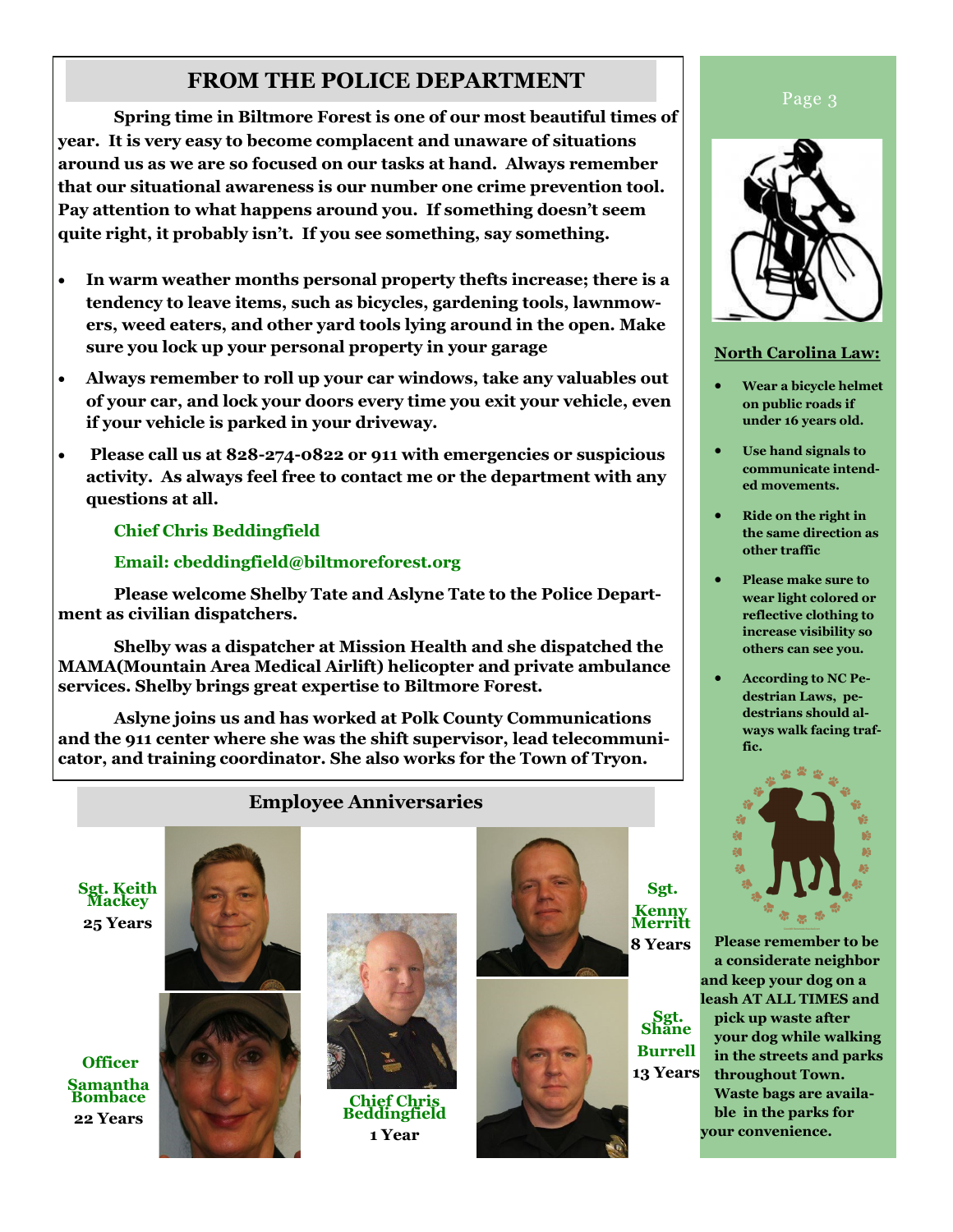# **FROM THE POLICE DEPARTMENT**

**Spring time in Biltmore Forest is one of our most beautiful times of year. It is very easy to become complacent and unaware of situations around us as we are so focused on our tasks at hand. Always remember that our situational awareness is our number one crime prevention tool. Pay attention to what happens around you. If something doesn't seem quite right, it probably isn't. If you see something, say something.** 

- **In warm weather months personal property thefts increase; there is a tendency to leave items, such as bicycles, gardening tools, lawnmowers, weed eaters, and other yard tools lying around in the open. Make sure you lock up your personal property in your garage**
- **Always remember to roll up your car windows, take any valuables out of your car, and lock your doors every time you exit your vehicle, even if your vehicle is parked in your driveway.**
- **Please call us at 828-274-0822 or 911 with emergencies or suspicious activity. As always feel free to contact me or the department with any questions at all.**

# **Chief Chris Beddingfield**

# **Email: cbeddingfield@biltmoreforest.org**

**Please welcome Shelby Tate and Aslyne Tate to the Police Department as civilian dispatchers.** 

**Shelby was a dispatcher at Mission Health and she dispatched the MAMA(Mountain Area Medical Airlift) helicopter and private ambulance services. Shelby brings great expertise to Biltmore Forest.** 

**Aslyne joins us and has worked at Polk County Communications and the 911 center where she was the shift supervisor, lead telecommunicator, and training coordinator. She also works for the Town of Tryon.**

# **Employee Anniversaries**

**Sgt. Keith Mackey 25 Years**

**Officer Samantha Bombace 22 Years**





**Chief Chris Beddingfield 1 Year**



**Sgt. Kenny Merritt 8 Years**

**Sgt. Shane Burrell 13 Years** Page 3



### **North Carolina Law:**

- **Wear a bicycle helmet on public roads if under 16 years old.**
- **Use hand signals to communicate intended movements.**
- **Ride on the right in the same direction as other traffic**
- **Please make sure to wear light colored or reflective clothing to increase visibility so others can see you.**
- **According to NC Pedestrian Laws, pedestrians should always walk facing traffic.**



**Please remember to be a considerate neighbor and keep your dog on a leash AT ALL TIMES and pick up waste after your dog while walking in the streets and parks throughout Town. Waste bags are available in the parks for your convenience.**